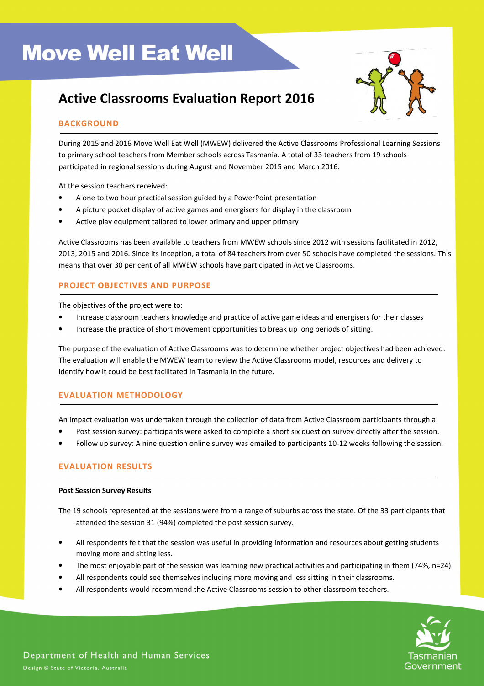# Active Classrooms Evaluation Report 2016



# BACKGROUND

During 2015 and 2016 Move Well Eat Well (MWEW) delivered the Active Classrooms Professional Learning Sessions to primary school teachers from Member schools across Tasmania. A total of 33 teachers from 19 schools participated in regional sessions during August and November 2015 and March 2016.

At the session teachers received:

- A one to two hour practical session guided by a PowerPoint presentation
- A picture pocket display of active games and energisers for display in the classroom
- Active play equipment tailored to lower primary and upper primary

Active Classrooms has been available to teachers from MWEW schools since 2012 with sessions facilitated in 2012, 2013, 2015 and 2016. Since its inception, a total of 84 teachers from over 50 schools have completed the sessions. This means that over 30 per cent of all MWEW schools have participated in Active Classrooms.

# PROJECT OBJECTIVES AND PURPOSE

The objectives of the project were to:

- Increase classroom teachers knowledge and practice of active game ideas and energisers for their classes
- Increase the practice of short movement opportunities to break up long periods of sitting.

The purpose of the evaluation of Active Classrooms was to determine whether project objectives had been achieved. The evaluation will enable the MWEW team to review the Active Classrooms model, resources and delivery to identify how it could be best facilitated in Tasmania in the future.

# EVALUATION METHODOLOGY

An impact evaluation was undertaken through the collection of data from Active Classroom participants through a:

- Post session survey: participants were asked to complete a short six question survey directly after the session.
- Follow up survey: A nine question online survey was emailed to participants 10-12 weeks following the session.

## EVALUATION RESULTS

#### Post Session Survey Results

The 19 schools represented at the sessions were from a range of suburbs across the state. Of the 33 participants that attended the session 31 (94%) completed the post session survey.

- All respondents felt that the session was useful in providing information and resources about getting students moving more and sitting less.
- The most enjoyable part of the session was learning new practical activities and participating in them (74%, n=24).
- All respondents could see themselves including more moving and less sitting in their classrooms.
- All respondents would recommend the Active Classrooms session to other classroom teachers.

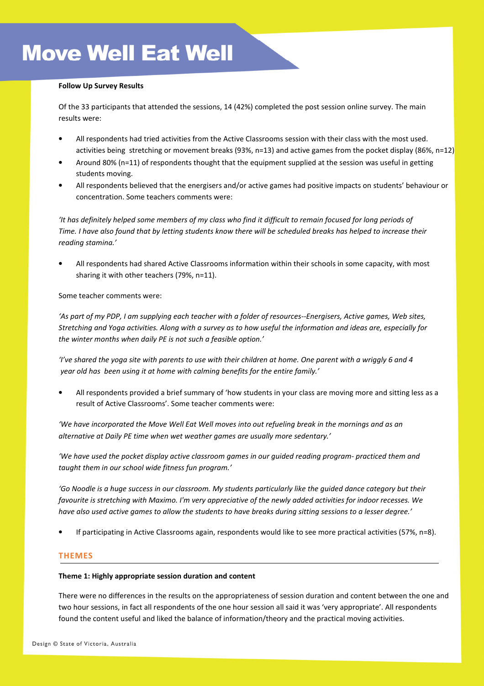### Follow Up Survey Results

Of the 33 participants that attended the sessions, 14 (42%) completed the post session online survey. The main results were:

- All respondents had tried activities from the Active Classrooms session with their class with the most used. activities being stretching or movement breaks (93%, n=13) and active games from the pocket display (86%, n=12)
- Around 80% (n=11) of respondents thought that the equipment supplied at the session was useful in getting students moving.
- All respondents believed that the energisers and/or active games had positive impacts on students' behaviour or concentration. Some teachers comments were:

'It has definitely helped some members of my class who find it difficult to remain focused for long periods of Time. I have also found that by letting students know there will be scheduled breaks has helped to increase their reading stamina.'

• All respondents had shared Active Classrooms information within their schools in some capacity, with most sharing it with other teachers (79%, n=11).

Some teacher comments were:

'As part of my PDP, I am supplying each teacher with a folder of resources--Energisers, Active games, Web sites, Stretching and Yoga activities. Along with a survey as to how useful the information and ideas are, especially for the winter months when daily PE is not such a feasible option.'

'I've shared the yoga site with parents to use with their children at home. One parent with a wriggly 6 and 4 year old has been using it at home with calming benefits for the entire family.'

• All respondents provided a brief summary of 'how students in your class are moving more and sitting less as a result of Active Classrooms'. Some teacher comments were:

'We have incorporated the Move Well Eat Well moves into out refueling break in the mornings and as an alternative at Daily PE time when wet weather games are usually more sedentary.'

'We have used the pocket display active classroom games in our guided reading program- practiced them and taught them in our school wide fitness fun program.'

'Go Noodle is a huge success in our classroom. My students particularly like the guided dance category but their favourite is stretching with Maximo. I'm very appreciative of the newly added activities for indoor recesses. We have also used active games to allow the students to have breaks during sitting sessions to a lesser degree.'

• If participating in Active Classrooms again, respondents would like to see more practical activities (57%, n=8).

## THEMES

#### Theme 1: Highly appropriate session duration and content

There were no differences in the results on the appropriateness of session duration and content between the one and two hour sessions, in fact all respondents of the one hour session all said it was 'very appropriate'. All respondents found the content useful and liked the balance of information/theory and the practical moving activities.